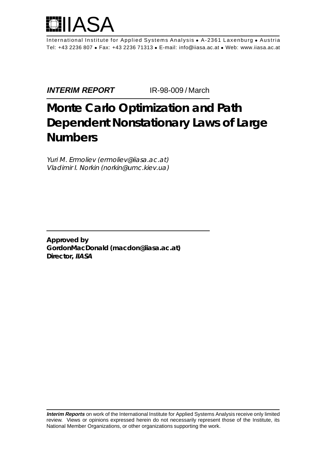

International Institute for Applied Systems Analysis • A-2361 Laxenburg • Austria Tel: +43 2236 807 • Fax: +43 2236 71313 • E-mail: info@iiasa.ac.at • Web: www.iiasa.ac.at

**INTERIM REPORT IR-98-009 / March** 

# **Monte Carlo Optimization and Path Dependent Nonstationary Laws of Large Numbers**

Yuri M. Ermoliev (ermoliev@iiasa.ac.at) Vladimir I. Norkin (norkin@umc.kiev.ua)

**Approved by GordonMacDonald (macdon@iiasa.ac.at) Director, IIASA**

**Interim Reports** on work of the International Institute for Applied Systems Analysis receive only limited review. Views or opinions expressed herein do not necessarily represent those of the Institute, its National Member Organizations, or other organizations supporting the work.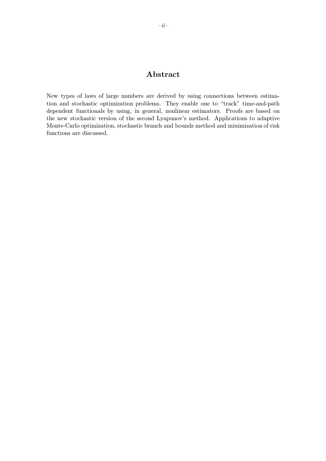### Abstract

New types of laws of large numbers are derived by using connections between estimation and stochastic optimization problems. They enable one to "track" time-and-path dependent functionals by using, in general, nonlinear estimators. Proofs are based on the new stochastic version of the second Lyapunov's method. Applications to adaptive Monte-Carlo optimization, stochastic branch and bounds method and minimization of risk functions are discussed.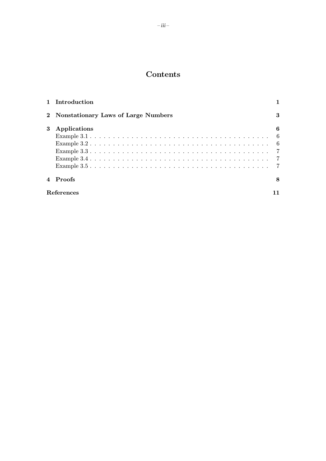## Contents

|   | 1 Introduction                        |     |
|---|---------------------------------------|-----|
|   | 2 Nonstationary Laws of Large Numbers | 3   |
| 3 | Applications                          | 6   |
|   |                                       | - 6 |
|   |                                       |     |
|   |                                       |     |
|   |                                       |     |
|   |                                       |     |
|   | 4 Proofs                              | 8   |
|   | References                            |     |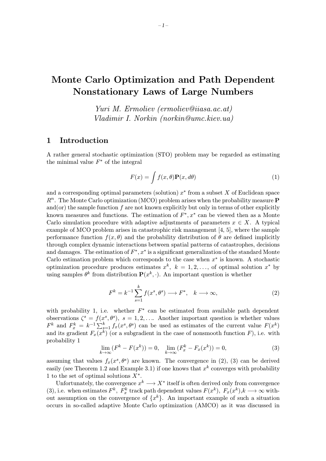# Monte Carlo Optimization and Path Dependent Nonstationary Laws of Large Numbers

Yuri M. Ermoliev (ermoliev@iiasa.ac.at) Vladimir I. Norkin (norkin@umc.kiev.ua)

#### 1 Introduction

A rather general stochastic optimization (STO) problem may be regarded as estimating the minimal value  $F^*$  of the integral

$$
F(x) = \int f(x, \theta) \mathbf{P}(x, d\theta)
$$
 (1)

and a corresponding optimal parameters (solution)  $x^*$  from a subset X of Euclidean space  $R<sup>n</sup>$ . The Monte Carlo optimization (MCO) problem arises when the probability measure **P** and(or) the sample function  $f$  are not known explicitly but only in terms of other explicitly known measures and functions. The estimation of  $F^*$ ,  $x^*$  can be viewed then as a Monte Carlo simulation procedure with adaptive adjustments of parameters  $x \in X$ . A typical example of MCO problem arises in catastrophic risk management [4, 5], where the sample performance function  $f(x, \theta)$  and the probability distribution of  $\theta$  are defined implicitly through complex dynamic interactions between spatial patterns of catastrophes, decisions and damages. The estimation of  $F^*$ ,  $x^*$  is a significant generalization of the standard Monte Carlo estimation problem which corresponds to the case when  $x^*$  is known. A stochastic optimization procedure produces estimates  $x^k$ ,  $k = 1, 2, \ldots$ , of optimal solution  $x^*$  by using samples  $\theta^k$  from distribution  $\mathbf{P}(x^k, \cdot)$ . An important question is whether

$$
F^{k} = k^{-1} \sum_{s=1}^{k} f(x^{s}, \theta^{s}) \longrightarrow F^{*}, \quad k \longrightarrow \infty,
$$
 (2)

with probability 1, i.e. whether  $F^*$  can be estimated from available path dependent observations  $\zeta^s = f(x^s, \theta^s)$ ,  $s = 1, 2, \ldots$  Another important question is whether values  $F^k$  and  $F_x^k = k^{-1} \sum_{s=1}^k f_x(x^s, \theta^s)$  can be used as estimates of the current value  $F(x^k)$ and its gradient  $F_x(x^k)$  (or a subgradient in the case of nonsmooth function F), i.e. with probability 1

$$
\lim_{k \to \infty} (F^k - F(x^k)) = 0, \quad \lim_{k \to \infty} (F_x^k - F_x(x^k)) = 0,
$$
\n(3)

assuming that values  $f_x(x^s, \theta^s)$  are known. The convergence in (2), (3) can be derived easily (see Theorem 1.2 and Example 3.1) if one knows that  $x^k$  converges with probability 1 to the set of optimal solutions  $X^*$ .

Unfortunately, the convergence  $x^k \longrightarrow X^*$  itself is often derived only from convergence (3), i.e. when estimates  $F^k$ ,  $F_x^k$  track path dependent values  $F(x^k)$ ,  $F_x(x^k)$ ,  $k \longrightarrow \infty$  without assumption on the convergence of  $\{x^k\}$ . An important example of such a situation occurs in so-called adaptive Monte Carlo optimization (AMCO) as it was discussed in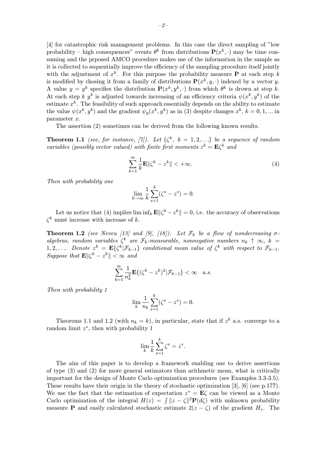[4] for catastrophic risk management problems. In this case the direct sampling of "low probability – high consequences" events  $\theta^k$  from distributions  $\mathbf{P}(x^k, \cdot)$  may be time consuming and the prposed AMCO procedure makes use of the information in the sample as it is collected to sequentially improve the efficiency of the sampling procedure itself jointly with the adjustment of  $x^k$ . For this purpose the probability measure **P** at each step k is modified by chosing it from a family of distributions  $P(x^k, y, \cdot)$  indexed by a vector y. A value  $y = y^k$  specifies the distribution  $P(x^k, y^k, \cdot)$  from which  $\theta^k$  is drown at step k. At each step k y<sup>k</sup> is adjusted towards increasing of an efficiency criteria  $\psi(x^k, y^k)$  of the estimate  $x^k$ . The feasibility of such approach essentially depends on the ability to estimate the value  $\psi(x^k, y^k)$  and the gradient  $\psi_y(x^k, y^k)$  as in (3) despite changes  $x^k$ ,  $k = 0, 1, ...$  in parameter x.

The assertion (2) sometimes can be derived from the following known results.

**Theorem 1.1** (see, for instance, [7]). Let  $\{\zeta^k, k = 1, 2, ...\}$  be a sequence of random variables (possibly vector valued) with finite first moments  $z^k = \mathbf{E} \zeta^k$  and

$$
\sum_{k=1}^{\infty} \frac{1}{k} \mathbf{E} \| \zeta^k - z^k \| < +\infty. \tag{4}
$$

Then with probability one

$$
\lim_{k \to \infty} \frac{1}{k} \sum_{s=1}^{k} (\zeta^s - z^s) = 0.
$$

Let us notice that (4) implies  $\liminf_k \mathbf{E} \|\zeta^k - z^k\| = 0$ , i.e. the accuracy of observations  $\zeta^k$  must increase with increase of k.

**Theorem 1.2** (see Neveu [13] and [9], [18]). Let  $\mathcal{F}_k$  be a flow of nondecreasing  $\sigma$ algebras, random variables  $\zeta^k$  are  $\mathcal{F}_k$ -measurable, nonnegative numbers  $n_k \uparrow \infty$ ,  $k =$ 1, 2,.... Denote  $z^k = \mathbf{E}\{\zeta^k|\mathcal{F}_{k-1}\}\$  conditional mean value of  $\zeta^k$  with respect to  $\mathcal{F}_{k-1}$ . Suppose that  $\mathbf{E} \Vert \zeta^k - z^k \Vert < \infty$  and

$$
\sum_{k=1}^{\infty} \frac{1}{n_k^2} \mathbf{E}\{ (\zeta^k - z^k)^2 | \mathcal{F}_{k-1} \} < \infty \quad a.s.
$$

Then with probability 1

$$
\lim_{k} \frac{1}{n_k} \sum_{s=1}^{k} (\zeta^s - z^s) = 0.
$$

Theorems 1.1 and 1.2 (with  $n_k = k$ ), in particular, state that if  $z^k$  a.s. converge to a random limit  $z^*$ , then with probability 1

$$
\lim_{k} \frac{1}{k} \sum_{s=1}^{k} \zeta^s = z^*.
$$

The aim of this paper is to develop a framework enabling one to derive assertions of type (3) and (2) for more general estimators than arithmetic mean, what is critically important for the design of Monte Carlo optimization procedures (see Examples 3.3-3.5). These results have their origin in the theory of stochastic optimization [3], [6] (see p.177). We use the fact that the estimation of expectation  $z^* = \mathbf{E}\zeta$  can be viewed as a Monte Carlo optimization of the integral  $H(z) = \int ||z - \zeta||^2 \mathbf{P}(d\zeta)$  with unknown probability measure **P** and easily calculated stochastic estimate  $2(z - \zeta)$  of the gradient  $H_z$ . The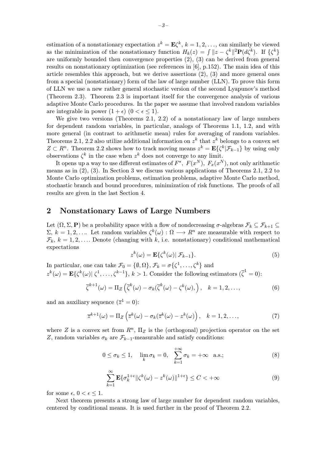estimation of a nonstationary expectation  $z^k = \mathbf{E}\zeta^k$ ,  $k = 1, 2, \ldots$ , can similarly be viewed as the minimization of the nonstationary function  $H_k(z) = \int ||z - \zeta^k||^2 \mathbf{P}(d\zeta^k)$ . If  $\{\zeta^k\}$ are uniformly bounded then convergence properties (2), (3) can be derived from general results on nonstationary optimization (see references in [6], p.152). The main idea of this article resembles this approach, but we derive assertions (2), (3) and more general ones from a special (nonstationary) form of the law of large number (LLN). To prove this form of LLN we use a new rather general stochastic version of the second Lyapunov's method (Theorem 2.3). Theorem 2.3 is important itself for the convergence analysis of various adaptive Monte Carlo procedures. In the paper we assume that involved random variables are integrable in power  $(1 + \epsilon)$   $(0 < \epsilon < 1)$ .

We give two versions (Theorems 2.1, 2.2) of a nonstationary law of large numbers for dependent random variables, in particular, analogs of Theorems 1.1, 1.2, and with more general (in contrast to arithmetic mean) rules for averaging of random variables. Theorems 2.1, 2.2 also utilize additional information on  $z^k$  that  $z^k$  belongs to a convex set  $Z \subset R^n$ . Theorem 2.2 shows how to track moving means  $z^k = \mathbf{E}\{\zeta^k | \mathcal{F}_{k-1}\}\$  by using only observations  $\zeta^k$  in the case when  $z^k$  does not converge to any limit.

It opens up a way to use different estimates of  $F^*$ ,  $F(x^N)$ ,  $F_x(x^N)$ , not only arithmetic means as in (2), (3). In Section 3 we discuss various applications of Theorems 2.1, 2.2 to Monte Carlo optimization problems, estimation problems, adaptive Monte Carlo method, stochastic branch and bound procedures, minimization of risk functions. The proofs of all results are given in the last Section 4.

#### 2 Nonstationary Laws of Large Numbers

Let  $(\Omega, \Sigma, \mathbf{P})$  be a probability space with a flow of nondecreasing  $\sigma$ -algebras  $\mathcal{F}_k \subseteq \mathcal{F}_{k+1} \subseteq$  $\Sigma, k = 1, 2, \ldots$  Let random variables  $\zeta^k(\omega): \Omega \longrightarrow \mathbb{R}^n$  are measurable with respect to  $\mathcal{F}_k, k = 1, 2, \ldots$  Denote (changing with k, i.e. nonstationary) conditional mathematical expectations

$$
z^{k}(\omega) = \mathbf{E}\{\zeta^{k}(\omega) | \mathcal{F}_{k-1}\}.
$$
\n(5)

In particular, one can take  $\mathcal{F}_0 = \{\emptyset, \Omega\}, \mathcal{F}_k = \sigma\{\zeta^1, \ldots, \zeta^k\}$  and  $z^k(\omega) = \mathbf{E}\{\zeta^k(\omega)|\ \zeta^1,\ldots,\zeta^{k-1}\},\ k>1.$  Consider the following estimators  $(\overline{\zeta}^1=0)$ :

$$
\overline{\zeta}^{k+1}(\omega) = \Pi_Z \left( \overline{\zeta}^k(\omega) - \sigma_k(\overline{\zeta}^k(\omega) - \zeta^k(\omega)), \quad k = 1, 2, \dots, \tag{6}
$$

and an auxiliary sequence  $(\overline{z}^1 = 0)$ :

$$
\overline{z}^{k+1}(\omega) = \Pi_Z \left( \overline{z}^k(\omega) - \sigma_k(\overline{z}^k(\omega) - z^k(\omega) \right), \quad k = 1, 2, \dots,
$$
\n(7)

where Z is a convex set from  $R^n$ ,  $\Pi_Z$  is the (orthogonal) projection operator on the set Z, random variables  $\sigma_k$  are  $\mathcal{F}_{k-1}$ -measurable and satisfy conditions:

$$
0 \le \sigma_k \le 1, \quad \lim_k \sigma_k = 0, \quad \sum_{k=1}^{+\infty} \sigma_k = +\infty \quad \text{a.s.}; \tag{8}
$$

$$
\sum_{k=1}^{\infty} \mathbf{E} \{ \sigma_k^{1+\epsilon} || \zeta^k(\omega) - z^k(\omega) ||^{1+\epsilon} \} \le C < +\infty
$$
 (9)

for some  $\epsilon$ ,  $0 < \epsilon < 1$ .

Next theorem presents a strong law of large number for dependent random variables, centered by conditional means. It is used further in the proof of Theorem 2.2.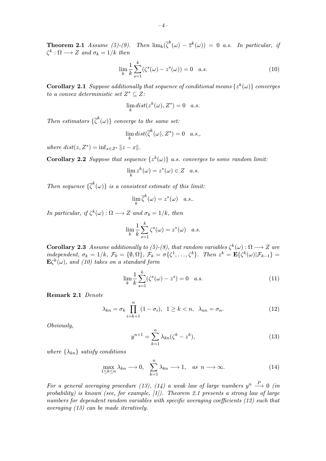**Theorem 2.1** Assume (5)-(9). Then  $\lim_{k}(\overline{\zeta}^{k}(\omega) - \overline{z}^{k}(\omega)) = 0$  a.s. In particular, if  $\zeta^k : \Omega \longrightarrow Z$  and  $\sigma_k = 1/k$  then

$$
\lim_{k} \frac{1}{k} \sum_{s=1}^{k} (\zeta^{s}(\omega) - z^{s}(\omega)) = 0 \quad a.s.
$$
\n(10)

**Corollary 2.1** Suppose additionally that sequence of conditional means  $\{z^k(\omega)\}\$ converges to a convex deterministic set  $Z^* \subseteq Z$ :

$$
\lim_{k} dist(z^{k}(\omega), Z^{*}) = 0 \quad a.s.
$$

Then estimators  $\{\overline{\zeta}^k(\omega)\}$  converge to the same set:

$$
\lim_{k} dist(\overline{\zeta}^{k}(\omega), Z^{*}) = 0 \quad a.s.,
$$

where  $dist(z, Z^*) = \inf_{x \in Z^*} ||z - x||$ .

**Corollary 2.2** Suppose that sequence  $\{z^k(\omega)\}\$ a.s. converges to some random limit:

$$
\lim_{k} z^{k}(\omega) = z^{*}(\omega) \in Z \quad a.s.
$$

Then sequence  $\{\overline{\zeta}^k(\omega)\}\$ is a consistent estimate of this limit:

$$
\lim_{k} \overline{\zeta}^{k}(\omega) = z^{*}(\omega) \quad a.s..
$$

In particular, if  $\zeta^k(\omega): \Omega \longrightarrow Z$  and  $\sigma_k = 1/k$ , then

$$
\lim_{k} \frac{1}{k} \sum_{s=1}^{k} \zeta^{s}(\omega) = z^{*}(\omega) \quad a.s.
$$

**Corollary 2.3** Assume additionally to (5)-(8), that random variables  $\zeta^k(\omega): \Omega \longrightarrow Z$  are independent,  $\sigma_k = 1/k$ ,  $\mathcal{F}_0 = \{\emptyset, \Omega\}$ ,  $\mathcal{F}_k = \sigma\{\zeta^1, \ldots, \zeta^k\}$ . Then  $z^k = \mathbf{E}\{\zeta^k(\omega)|\mathcal{F}_{k-1}\}$  $\mathbf{E}\zeta^{k}(\omega)$ , and (10) takes on a standard form

$$
\lim_{k} \frac{1}{k} \sum_{s=1}^{k} (\zeta^s(\omega) - z^s) = 0 \quad a.s.
$$
 (11)

Remark 2.1 Denote

$$
\lambda_{kn} = \sigma_k \prod_{i=k+1}^n (1 - \sigma_i), \quad 1 \ge k < n, \quad \lambda_{nn} = \sigma_n. \tag{12}
$$

Obviously,

$$
y^{n+1} = \sum_{k=1}^{n} \lambda_{kn} (\zeta^k - z^k),
$$
\n(13)

where  $\{\lambda_{kn}\}\$  satisfy conditions

$$
\max_{1 \le k \le n} \lambda_{kn} \longrightarrow 0, \quad \sum_{k=1}^n \lambda_{kn} \longrightarrow 1, \quad \text{as} \quad n \longrightarrow \infty. \tag{14}
$$

For a general averaging procedure (13), (14) a weak law of large numbers  $y^n \stackrel{P}{\longrightarrow} 0$  (in probability) is known (see, for example,  $(1)$ ). Theorem 2.1 presents a strong law of large numbers for dependent random variables with specific averaging coefficients (12) such that averaging (13) can be made iteratively.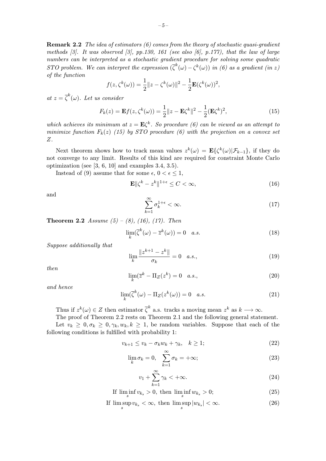**Remark 2.2** The idea of estimators (6) comes from the theory of stochastic quasi-gradient methods  $\beta$ . It was observed  $\beta$ , pp.130, 161 (see also  $\beta$ ), p.177), that the law of large numbers can be interpreted as a stochastic gradient procedure for solving some quadratic STO problem. We can interpret the expression  $(\overline{\zeta}^k(\omega) - \zeta^k(\omega))$  in (6) as a gradient (in z) of the function

$$
f(z,\zeta^k(\omega)) = \frac{1}{2}||z-\zeta^k(\omega)||^2 - \frac{1}{2}\mathbf{E}(\zeta^k(\omega))^2,
$$

at  $z = \overline{\zeta}^k(\omega)$ . Let us consider

$$
F_k(z) = \mathbf{E}f(z, \zeta^k(\omega)) = \frac{1}{2} ||z - \mathbf{E}\zeta^k||^2 - \frac{1}{2} (\mathbf{E}\zeta^k)^2,
$$
 (15)

which achieves its minimum at  $z = \mathbf{E} \zeta^k$ . So procedure (6) can be viewed as an attempt to minimize function  $F_k(z)$  (15) by STO procedure (6) with the projection on a convex set Z.

Next theorem shows how to track mean values  $z^k(\omega) = \mathbf{E}\{\zeta^k(\omega)|\mathcal{F}_{k-1}\}\,$  if they do not converge to any limit. Results of this kind are required for constraint Monte Carlo optimization (see [3, 6, 10] and examples 3.4, 3.5).

Instead of (9) assume that for some  $\epsilon, 0 < \epsilon \leq 1$ ,

$$
\mathbf{E} \|\zeta^k - z^k\|^{1+\epsilon} \le C < \infty,\tag{16}
$$

and

$$
\sum_{k=1}^{\infty} \sigma_k^{1+\epsilon} < \infty. \tag{17}
$$

**Theorem 2.2** Assume  $(5) - (8)$ ,  $(16)$ ,  $(17)$ . Then

$$
\lim_{k} (\overline{\zeta}^{k}(\omega) - \overline{z}^{k}(\omega)) = 0 \quad a.s.
$$
\n(18)

Suppose additionally that

$$
\lim_{k} \frac{\|z^{k+1} - z^k\|}{\sigma_k} = 0 \quad a.s.,
$$
\n(19)

then

$$
\lim_{k} (\overline{z}^k - \Pi_Z(z^k) = 0 \quad a.s., \tag{20}
$$

and hence

$$
\lim_{k} (\overline{\zeta}^{k}(\omega) - \Pi_{Z}(z^{k}(\omega))) = 0 \quad a.s.
$$
\n(21)

Thus if  $z^k(\omega) \in Z$  then estimator  $\overline{\zeta}^k$  a.s. tracks a moving mean  $z^k$  as  $k \longrightarrow \infty$ .

The proof of Theorem 2.2 rests on Theorem 2.1 and the following general statement. Let  $v_k \geq 0, \sigma_k \geq 0, \gamma_k, w_k, k \geq 1$ , be random variables. Suppose that each of the following conditions is fulfilled with probability 1:

$$
v_{k+1} \le v_k - \sigma_k w_k + \gamma_k, \quad k \ge 1; \tag{22}
$$

$$
\lim_{k} \sigma_k = 0, \quad \sum_{k=1}^{\infty} \sigma_k = +\infty; \tag{23}
$$

$$
v_1 + \sum_{k=1}^{\infty} \gamma_k < +\infty. \tag{24}
$$

If  $\liminf_{s} v_{k_s} > 0$ , then  $\liminf_{s} w_{k_s} > 0$ ; (25)

If 
$$
\limsup_{s} v_{k_s} < \infty
$$
, then  $\limsup_{s} |w_{k_s}| < \infty$ . (26)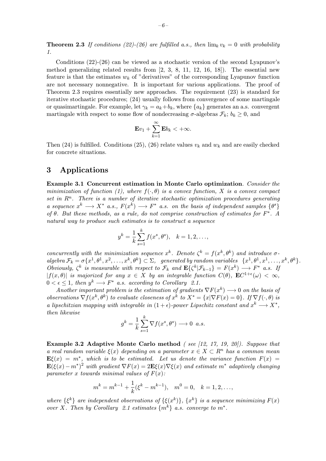**Theorem 2.3** If conditions (22)-(26) are fulfilled a.s., then  $\lim_k v_k = 0$  with probability 1.

Conditions (22)-(26) can be viewed as a stochastic version of the second Lyapunov's method generalizing related results from  $[2, 3, 8, 11, 12, 16, 18]$ . The essential new feature is that the estimates  $w_k$  of "derivatives" of the corresponding Lyapunov function are not necessary nonnegative. It is important for various applications. The proof of Theorem 2.3 requires essentially new approaches. The requirement (23) is standard for iterative stochastic procedures; (24) usually follows from convergence of some martingale or quasimartingale. For example, let  $\gamma_k = a_k + b_k$ , where  $\{a_k\}$  generates an a.s. convergent martingale with respect to some flow of nondecreasing  $\sigma$ -algebras  $\mathcal{F}_k$ ;  $b_k \geq 0$ , and

$$
\mathbf{E}v_1+\sum_{k=1}^{\infty}\mathbf{E}b_k<+\infty.
$$

Then (24) is fulfilled. Conditions (25), (26) relate values  $v_k$  and  $w_k$  and are easily checked for concrete situations.

#### 3 Applications

Example 3.1 Concurrent estimation in Monte Carlo optimization. Consider the minimization of function (1), where  $f(\cdot, \theta)$  is a convex function, X is a convex compact set in  $\mathbb{R}^n$ . There is a number of iterative stochastic optimization procedures generating a sequence  $x^k \longrightarrow X^*$  a.s.,  $F(x^k) \longrightarrow F^*$  a.s. on the basis of independent samples  $\{\theta^s\}$ of  $\theta$ . But these methods, as a rule, do not comprise construction of estimates for  $F^*$ . A natural way to produce such estimates is to construct a sequence

$$
y^k = \frac{1}{k} \sum_{s=1}^k f(x^s, \theta^s), \quad k = 1, 2, \dots,
$$

concurrently with the minimization sequence  $x^k$ . Denote  $\zeta^k = f(x^k, \theta^k)$  and introduce  $\sigma$ algebra  $\mathcal{F}_k = \sigma\{x^1, \theta^1, x^2, \ldots, x^k, \theta^k\} \subset \Sigma$ , generated by random variables  $\{x^1, \theta^1, x^1, \ldots, x^k, \theta^k\}$ . Obviously,  $\zeta^k$  is measurable with respect to  $\mathcal{F}_k$  and  $\mathbf{E}\{\zeta^k|\mathcal{F}_{k-1}\} = F(x^k) \longrightarrow F^*$  a.s. If  $|f(x, \theta)|$  is majorized for any  $x \in X$  by an integrable function  $C(\theta)$ ,  $\mathbf{E}C^{1+\epsilon}(\omega) < \infty$ ,  $0 < \epsilon \leq 1$ , then  $y^k \longrightarrow F^*$  a.s. according to Corollary 2.1.

Another important problem is the estimation of gradients  $\nabla F(x^k) \longrightarrow 0$  on the basis of observations  $\nabla f(x^k, \theta^k)$  to evaluate closeness of  $x^k$  to  $X^* = \{x | \nabla F(x) = 0\}$ . If  $\nabla f(\cdot, \theta)$  is a lipschitzian mapping with integrable in  $(1 + \epsilon)$ -power Lipschitz constant and  $x^k \longrightarrow X^*$ , then likewise

$$
g^k = \frac{1}{k} \sum_{s=1}^k \nabla f(x^s, \theta^s) \longrightarrow 0 \ \ a.s.
$$

Example 3.2 Adaptive Monte Carlo method ( see [12, 17, 19, 20]). Suppose that a real random variable  $\xi(x)$  depending on a parameter  $x \in X \subset \mathbb{R}^n$  has a common mean  $\mathbf{E}\xi(x) = m^*$ , which is to be estimated. Let us denote the variance function  $F(x) =$  $\mathbf{E}(\xi(x)-m^*)^2$  with gradient  $\nabla F(x)=2\mathbf{E}\xi(x)\nabla \xi(x)$  and estimate  $m^*$  adaptively changing parameter x towards minimal values of  $F(x)$ :

$$
m^k = m^{k-1} + \frac{1}{k}(\xi^k - m^{k-1}), \quad m^0 = 0, \quad k = 1, 2, \dots,
$$

where  $\{\xi^k\}$  are independent observations of  $\{\xi(x^k)\}\$ ,  $\{x^k\}$  is a sequence minimizing  $F(x)$ over X. Then by Corollary 2.1 estimates  $\{m^k\}$  a.s. converge to  $m^*$ .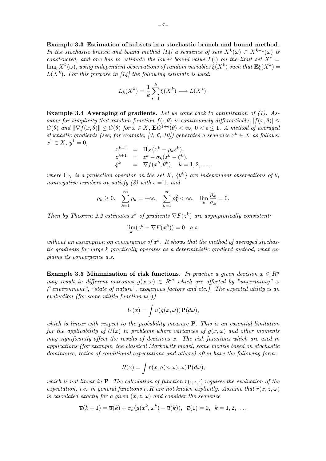Example 3.3 Estimation of subsets in a stochastic branch and bound method. In the stochastic branch and bound method [14] a sequence of sets  $X^k(\omega) \subset X^{k-1}(\omega)$  is constructed, and one has to estimate the lower bound value  $L(\cdot)$  on the limit set  $X^* =$  $\lim_k X^k(\omega)$ , using independent observations of random variables  $\xi(X^k)$  such that  $\mathbf{E}\xi(X^k) =$  $L(X^k)$ . For this purpose in [14] the following estimate is used:

$$
L_k(X^k) = \frac{1}{k} \sum_{s=1}^k \xi(X^k) \longrightarrow L(X^*).
$$

**Example 3.4 Averaging of gradients**. Let us come back to optimization of  $(1)$ . Assume for simplicity that random function  $f(\cdot, \theta)$  is continuously differentiable,  $|f(x, \theta)| <$  $C(\theta)$  and  $\|\nabla f(x, \theta)\| \leq C(\theta)$  for  $x \in X$ ,  $\mathbf{E}C^{1+\epsilon}(\theta) < \infty$ ,  $0 < \epsilon \leq 1$ . A method of averaged stochastic gradients (see, for example, [3, 6, 10]) generates a sequence  $x^k \in X$  as follows:  $x^1 \in X$ ,  $y^1 = 0$ .

$$
x^{k+1} = \Pi_X(x^k - \rho_k z^k),
$$
  
\n
$$
z^{k+1} = z^k - \sigma_k (z^k - \xi^k),
$$
  
\n
$$
\xi^k = \nabla f(x^k, \theta^k), \quad k = 1, 2, ...,
$$

where  $\Pi_X$  is a projection operator on the set X,  $\{\theta^k\}$  are independent observations of  $\theta$ , nonnegative numbers  $\sigma_k$  satisfy (8) with  $\epsilon = 1$ , and

$$
\rho_k \ge 0
$$
,  $\sum_{k=1}^{\infty} \rho_k = +\infty$ ,  $\sum_{k=1}^{\infty} \rho_k^2 < \infty$ ,  $\lim_{k} \frac{\rho_k}{\sigma_k} = 0$ .

Then by Theorem 2.2 estimates  $z^k$  of gradients  $\nabla F(z^k)$  are asymptotically consistent:

$$
\lim_{k} (z^k - \nabla F(x^k)) = 0 \quad a.s.
$$

without an assumption on convergence of  $x^k$ . It shows that the method of averaged stochastic gradients for large k practically operates as a deterministic gradient method, what explains its convergence a.s.

Example 3.5 Minimization of risk functions. In practice a given decision  $x \in R^n$ may result in different outcomes  $g(x, \omega) \in R^m$  which are affected by "uncertainty"  $\omega$ ("environment", "state of nature", exogenous factors and etc.). The expected utility is an evaluation (for some utility function  $u(\cdot)$ )

$$
U(x) = \int u(g(x,\omega)) \mathbf{P}(d\omega),
$$

which is linear with respect to the probability measure  $P$ . This is an essential limitation for the applicability of  $U(x)$  to problems where variances of  $g(x, \omega)$  and other moments may significantly affect the results of decisions  $x$ . The risk functions which are used in applications (for example, the classical Markowitz model, some models based on stochastic dominance, ratios of conditional expectations and others) often have the following form:

$$
R(x) = \int r(x, g(x, \omega), \omega) \mathbf{P}(d\omega),
$$

which is not linear in **P**. The calculation of function  $r(\cdot, \cdot, \cdot)$  requires the evaluation of the expectation, i.e. in general functions r, R are not known explicitly. Assume that  $r(x, z, \omega)$ is calculated exactly for a given  $(x, z, \omega)$  and consider the sequence

$$
\overline{u}(k+1)=\overline{u}(k)+\sigma_k(g(x^k,\omega^k)-\overline{u}(k)),\ \ \overline{u}(1)=0,\ \ k=1,2,\ldots,
$$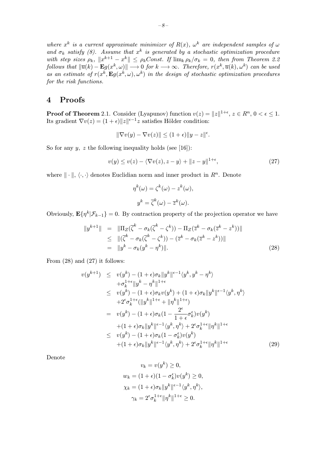where  $x^k$  is a current approximate minimizer of  $R(x)$ ,  $\omega^k$  are independent samples of  $\omega$ and  $\sigma_k$  satisfy (8). Assume that  $x^k$  is generated by a stochastic optimization procedure with step sizes  $\rho_k$ ,  $||x^{k+1} - x^k|| \leq \rho_k Const$ . If  $\lim_k \rho_k/\sigma_k = 0$ , then from Theorem 2.2 follows that  $\|\overline{u}(k) - \mathbf{E}g(x^k, \omega)\| \longrightarrow 0$  for  $k \longrightarrow \infty$ . Therefore,  $r(x^k, \overline{u}(k), \omega^k)$  can be used

as an estimate of  $r(x^k, Eg(x^k, \omega), \omega^k)$  in the design of stochastic optimization procedures for the risk functions.

#### 4 Proofs

**Proof of Theorem** 2.1. Consider (Lyapunov) function  $v(z) = ||z||^{1+\epsilon}$ ,  $z \in R^n$ ,  $0 < \epsilon \leq 1$ . Its gradient  $\nabla v(z) = (1 + \epsilon) ||z||^{\epsilon - 1} z$  satisfies Hölder condition:

$$
\|\nabla v(y) - \nabla v(z)\| \le (1+\epsilon) \|y - z\|^{\epsilon}.
$$

So for any  $y$ , z the following inequality holds (see [16]):

$$
v(y) \le v(z) - \langle \nabla v(z), z - y \rangle + ||z - y||^{1 + \epsilon}, \tag{27}
$$

where  $\|\cdot\|$ ,  $\langle \cdot, \cdot \rangle$  denotes Euclidian norm and inner product in  $R^n$ . Denote

$$
\eta^{k}(\omega) = \zeta^{k}(\omega) - z^{k}(\omega),
$$
  

$$
y^{k} = \overline{\zeta}^{k}(\omega) - \overline{z}^{k}(\omega).
$$

Obviously,  $\mathbf{E}\{\eta^k|\mathcal{F}_{k-1}\}=0$ . By contraction property of the projection operator we have

$$
||y^{k+1}|| = ||\Pi_Z(\overline{\zeta}^k - \sigma_k(\overline{\zeta}^k - \zeta^k)) - \Pi_Z(\overline{z}^k - \sigma_k(\overline{z}^k - z^k))||
$$
  
\n
$$
\leq ||(\overline{\zeta}^k - \sigma_k(\overline{\zeta}^k - \zeta^k)) - (\overline{z}^k - \sigma_k(\overline{z}^k - z^k))||
$$
  
\n
$$
= ||y^k - \sigma_k(y^k - \eta^k)||. \tag{28}
$$

From (28) and (27) it follows:

$$
v(y^{k+1}) \leq v(y^k) - (1+\epsilon)\sigma_k \|y^k\|^{(\epsilon-1)} \langle y^k, y^k - \eta^k \rangle
$$
  
\n
$$
+ \sigma_k^{1+\epsilon} \|y^k - \eta^k\|^{1+\epsilon}
$$
  
\n
$$
\leq v(y^k) - (1+\epsilon)\sigma_k v(y^k) + (1+\epsilon)\sigma_k \|y^k\|^{(\epsilon-1)} \langle y^k, \eta^k \rangle
$$
  
\n
$$
+ 2^{\epsilon} \sigma_k^{1+\epsilon} (\|y^k\|^{1+\epsilon} + \| \eta^k\|^{1+\epsilon})
$$
  
\n
$$
= v(y^k) - (1+\epsilon)\sigma_k (1 - \frac{2^{\epsilon}}{1+\epsilon} \sigma_k^{\epsilon}) v(y^k)
$$
  
\n
$$
+ (1+\epsilon)\sigma_k \|y^k\|^{(\epsilon-1)} \langle y^k, \eta^k \rangle + 2^{\epsilon} \sigma_k^{1+\epsilon} \| \eta^k \|^{1+\epsilon}
$$
  
\n
$$
\leq v(y^k) - (1+\epsilon)\sigma_k (1 - \sigma_k^{\epsilon}) v(y^k)
$$
  
\n
$$
+ (1+\epsilon)\sigma_k \|y^k\|^{(\epsilon-1)} \langle y^k, \eta^k \rangle + 2^{\epsilon} \sigma_k^{1+\epsilon} \| \eta^k \|^{1+\epsilon}
$$
  
\n(29)

Denote

$$
v_k = v(y^k) \ge 0,
$$
  
\n
$$
w_k = (1 + \epsilon)(1 - \sigma_k^{\epsilon})v(y^k) \ge 0,
$$
  
\n
$$
\chi_k = (1 + \epsilon)\sigma_k ||y^k||^{\epsilon - 1} \langle y^k, \eta^k \rangle,
$$
  
\n
$$
\gamma_k = 2^{\epsilon} \sigma_k^{1 + \epsilon} ||\eta^k||^{1 + \epsilon} \ge 0.
$$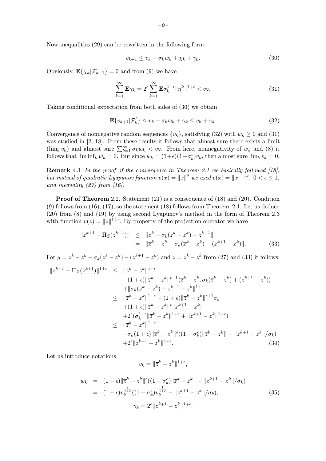Now inequalities (29) can be rewritten in the following form:

$$
v_{k+1} \le v_k - \sigma_k w_k + \chi_k + \gamma_k. \tag{30}
$$

Obviously,  $\mathbf{E}\{\chi_k|\mathcal{F}_{k-1}\}=0$  and from (9) we have

$$
\sum_{k=1}^{\infty} \mathbf{E}\gamma_k = 2^{\epsilon} \sum_{k=1}^{\infty} \mathbf{E}\sigma_k^{1+\epsilon} \|\eta^k\|^{1+\epsilon} < \infty.
$$
 (31)

Taking conditional expectation from both sides of (30) we obtain

$$
\mathbf{E}\{v_{k+1}|\mathcal{F}'_k\} \le v_k - \sigma_k w_k + \gamma_k \le v_k + \gamma_k. \tag{32}
$$

Convergence of nonnegative random sequences  $\{v_k\}$ , satisfying (32) with  $w_k \ge 0$  and (31) was studied in [2, 18]. From these results it follows that almost sure there exists a limit  $(\lim_k v_k)$  and almost sure  $\sum_{k=1}^{\infty} \sigma_k w_k < \infty$ . From here, nonnegativity of  $w_k$  and (8) it follows that  $\liminf_k w_k = 0$ . But since  $w_k = (1+\epsilon)(1-\sigma_k^{\epsilon})v_k$ , then almost sure  $\lim_k v_k = 0$ .

**Remark 4.1** In the proof of the convergence in Theorem 2.1 we basically followed  $(18)$ , but instead of quadratic Lyapunov function  $v(x) = ||x||^2$  we used  $v(x) = ||x||^{1+\epsilon}$ ,  $0 < \epsilon \leq 1$ , and inequality  $(27)$  from [16].

Proof of Theorem 2.2. Statement (21) is a consequence of (18) and (20). Condition (9) follows from (16), (17), so the statement (18) follows from Theorem 2.1. Let us deduce (20) from (8) and (19) by using second Lyapunov's method in the form of Theorem 2.3 with function  $v(z) = ||z||^{1+\epsilon}$ . By property of the projection operator we have

$$
\begin{aligned} \|\overline{z}^{k+1} - \Pi_Z(z^{k+1})\| &\leq \|\overline{z}^k - \sigma_k(\overline{z}^k - z^k) - z^{k+1}\| \\ &= \|\overline{z}^k - z^k - \sigma_k(\overline{z}^k - z^k) - (z^{k+1} - z^k)\|. \end{aligned} \tag{33}
$$

For  $y = \overline{z}^k - z^k - \sigma_k(\overline{z}^k - z^k) - (z^{k+1} - z^k)$  and  $z = \overline{z}^k - z^k$  from (27) and (33) it follows:  $k+1$   $\sigma$  ( $k+1$ )  $1+\epsilon$   $\sigma$   $k+1$ 

$$
\|\overline{z}^{k+1} - \Pi_Z(z^{k+1})\|^{1+\epsilon} \leq \|\overline{z}^k - z^k\|^{1+\epsilon} \n- (1+\epsilon) \|\overline{z}^k - z^k\|^{|\epsilon-1} \langle \overline{z}^k - z^k, \sigma_k(\overline{z}^k - z^k) + (z^{k+1} - z^k) \rangle \n+ \|\sigma_k(\overline{z}^k - z^k) + z^{k+1} - z^k\|^{1+\epsilon} \n\leq \|\overline{z}^k - z^k\|^{1+\epsilon} - (1+\epsilon) \|\overline{z}^k - z^k\|^{|\epsilon+1} \sigma_k \n+ (1+\epsilon) \|\overline{z}^k - z^k\|^{|\epsilon|} |z^{k+1} - z^k| \n+ 2^{\epsilon} (\sigma_k^{1+\epsilon} \|\overline{z}^k - z^k\|^{1+\epsilon} + \|z^{k+1} - z^k\|^{1+\epsilon}) \n\leq \|\overline{z}^k - z^k\|^{1+\epsilon} \n- \sigma_k (1+\epsilon) \|\overline{z}^k - z^k\|^{|\epsilon|} ((1-\sigma_k^{\epsilon}) \|\overline{z}^k - z^k\| - \|z^{k+1} - z^k\| / \sigma_k) \n+ 2^{\epsilon} \|z^{k+1} - z^k\|^{1+\epsilon}.
$$
\n(34)

Let us introduce notations

$$
v_k = \|\overline{z}^k - z^k\|^{1+\epsilon},
$$

$$
w_k = (1+\epsilon) \|\overline{z}^k - z^k\|^{\epsilon} ((1-\sigma_k^{\epsilon}) \|\overline{z}^k - z^k\| - \|z^{k+1} - z^k\| / \sigma_k)
$$
  

$$
= (1+\epsilon) v_k^{\frac{\epsilon}{1+\epsilon}} ((1-\sigma_k^{\epsilon}) v_k^{\frac{1}{1+\epsilon}} - \|z^{k+1} - z^k\| / \sigma_k),
$$
  

$$
\gamma_k = 2^{\epsilon} \|z^{k+1} - z^k\|^{1+\epsilon}.
$$
 (35)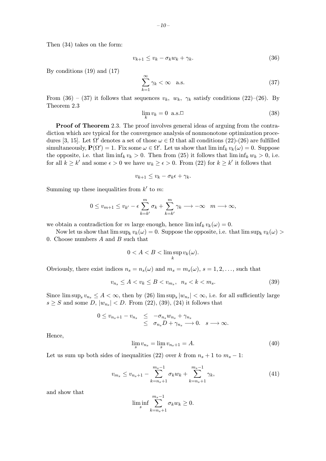Then (34) takes on the form:

$$
v_{k+1} \le v_k - \sigma_k w_k + \gamma_k. \tag{36}
$$

By conditions (19) and (17)

$$
\sum_{k=1}^{\infty} \gamma_k < \infty \quad \text{a.s.} \tag{37}
$$

From (36) – (37) it follows that sequences  $v_k$ ,  $w_k$ ,  $\gamma_k$  satisfy conditions (22)–(26). By Theorem 2.3

$$
\lim_{k} v_k = 0 \text{ a.s.} \Box \tag{38}
$$

Proof of Theorem 2.3. The proof involves general ideas of arguing from the contradiction which are typical for the convergence analysis of nonmonotone optimization procedures [3, 15]. Let  $\Omega'$  denotes a set of those  $\omega \in \Omega$  that all conditions (22)-(26) are fulfilled simultaneously,  $\mathbf{P}(\Omega') = 1$ . Fix some  $\omega \in \Omega'$ . Let us show that  $\liminf_k v_k(\omega) = 0$ . Suppose the opposite, i.e. that  $\liminf_k v_k > 0$ . Then from (25) it follows that  $\liminf_k w_k > 0$ , i.e. for all  $k \geq k'$  and some  $\epsilon > 0$  we have  $w_k \geq \epsilon > 0$ . From (22) for  $k \geq k'$  it follows that

$$
v_{k+1} \leq v_k - \sigma_k \epsilon + \gamma_k.
$$

Summing up these inequalities from  $k'$  to m:

$$
0 \le v_{m+1} \le v_{k'} - \epsilon \sum_{k=k'}^{m} \sigma_k + \sum_{k=k'}^{m} \gamma_k \longrightarrow -\infty \quad m \longrightarrow \infty,
$$

we obtain a contradiction for m large enough, hence  $\liminf_k v_k(\omega) = 0$ .

Now let us show that  $\limsup_k v_k(\omega) = 0$ . Suppose the opposite, i.e. that  $\limsup_k v_k(\omega) >$ 0. Choose numbers A and B such that

$$
0 < A < B < \limsup_{k} v_k(\omega).
$$

Obviously, there exist indices  $n_s = n_s(\omega)$  and  $m_s = m_s(\omega)$ ,  $s = 1, 2, \ldots$ , such that

$$
v_{n_s} \le A < v_k \le B < v_{m_s}, \ \ n_s < k < m_s. \tag{39}
$$

Since  $\limsup_{s} v_{n_s} \leq A < \infty$ , then by (26)  $\limsup_{s} |w_{n_s}| < \infty$ , i.e. for all sufficiently large  $s \geq S$  and some D,  $|w_{n_s}| < D$ . From (22), (39), (24) it follows that

$$
0 \leq v_{n_s+1} - v_{n_s} \leq -\sigma_{n_s} w_{n_s} + \gamma_{n_s}
$$
  

$$
\leq \sigma_{n_s} D + \gamma_{n_s} \longrightarrow 0. \quad s \longrightarrow \infty.
$$

Hence,

$$
\lim_{s} v_{n_s} = \lim_{s} v_{n_s+1} = A.
$$
\n(40)

Let us sum up both sides of inequalities (22) over k from  $n_s + 1$  to  $m_s - 1$ :

$$
v_{m_s} \le v_{n_s+1} - \sum_{k=n_s+1}^{m_s-1} \sigma_k w_k + \sum_{k=n_s+1}^{m_s-1} \gamma_k,
$$
\n(41)

and show that

$$
\liminf_{s} \sum_{k=n_s+1}^{m_s-1} \sigma_k w_k \ge 0.
$$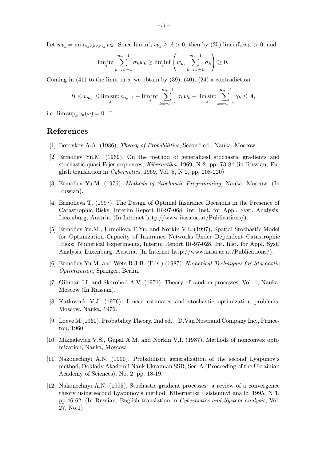Let  $w_{k_s} = \min_{n_s \leq k \leq m_s} w_k$ . Since  $\liminf_s v_{k_s} \geq A > 0$ , then by (25)  $\liminf_s w_{k_s} > 0$ , and

$$
\liminf_{s} \sum_{k=n_s+1}^{m_s-1} \sigma_k w_k \ge \liminf_{s} \left(w_{k_s} \sum_{k=n_s+1}^{m_s-1} \sigma_k\right) \ge 0.
$$

Coming in  $(41)$  to the limit in s, we obtain by  $(39)$ ,  $(40)$ ,  $(24)$  a contradiction

$$
B \le v_{m_s} \le \limsup_s v_{n_s+1} - \liminf_s \sum_{k=n_s+1}^{m_s-1} \sigma_k w_k + \limsup_s \sum_{k=n_s+1}^{m_s-1} \gamma_k \le A,
$$

i.e.  $\limsup_k v_k(\omega) = 0. \ \Box.$ 

#### References

- [1] Borovkov A.A. (1986), Theory of Probabilities, Second ed., Nauka, Moscow.
- [2] Ermoliev Yu.M. (1969), On the method of generalized stochastic gradients and stochastic quasi-Fejer sequences, Kibernetika, 1969, N 2, pp. 73-84 (in Russian, English translation in Cybernetics, 1969, Vol. 5, N 2, pp. 208-220).
- [3] Ermoliev Yu.M. (1976), Methods of Stochastic Programming, Nauka, Moscow. (In Russian).
- [4] Ermolieva T. (1997), The Design of Optimal Insurance Decisions in the Presence of Catastrophic Risks, Interim Report IR-97-068, Int. Inst. for Appl. Syst. Analysis, Laxenburg, Austria. (In Internet http://www.iiasa.ac.at/Publications/).
- [5] Ermoliev Yu.M., Ermolieva T.Yu. and Norkin V.I. (1997), Spatial Stochastic Model for Optimization Capacity of Insurance Networks Under Dependent Catastrophic Risks: Numerical Experiments, Interim Report IR-97-028, Int. Inst. for Appl. Syst. Analysis, Laxenburg, Austria. (In Internet http://www.iiasa.ac.at/Publications/).
- [6] Ermoliev Yu.M. and Wets R.J-B. (Eds.) (1987), Numerical Techniques for Stochastic Optimization, Springer, Berlin.
- [7] Gihman I.I. and Skorohod A.V. (1971), Theory of random processes, Vol. 1, Nauka, Moscow (In Russian).
- [8] Katkovnik V.J. (1976), Linear estimates and stochastic optimization problems, Moscow, Nauka, 1976.
- [9] Loève M  $(1960)$ . Probability Theory. 2nd ed.  $-$  D. Van Nostrand Company Inc., Princeton, 1960.
- [10] Mikhalevich V.S., Gupal A.M. and Norkin V.I. (1987), Methods of nonconvex optimization, Nauka, Moscow.
- [11] Nakonechnyi A.N. (1990), Probabilistic generalization of the second Lyapunov's method, Doklady Akademii Nauk Ukrainian SSR, Ser. A (Proceeding of the Ukrainian Academy of Sciences), No. 2, pp. 18-19.
- [12] Nakonechnyi A.N. (1995), Stochastic gradient processes: a review of a convergence theory using second Lyapunov's method, Kibernetika i sistemnyi analiz, 1995, N 1, pp.46-62. (In Russian, English translation in Cybernetics and System analysis, Vol. 27, No.1).